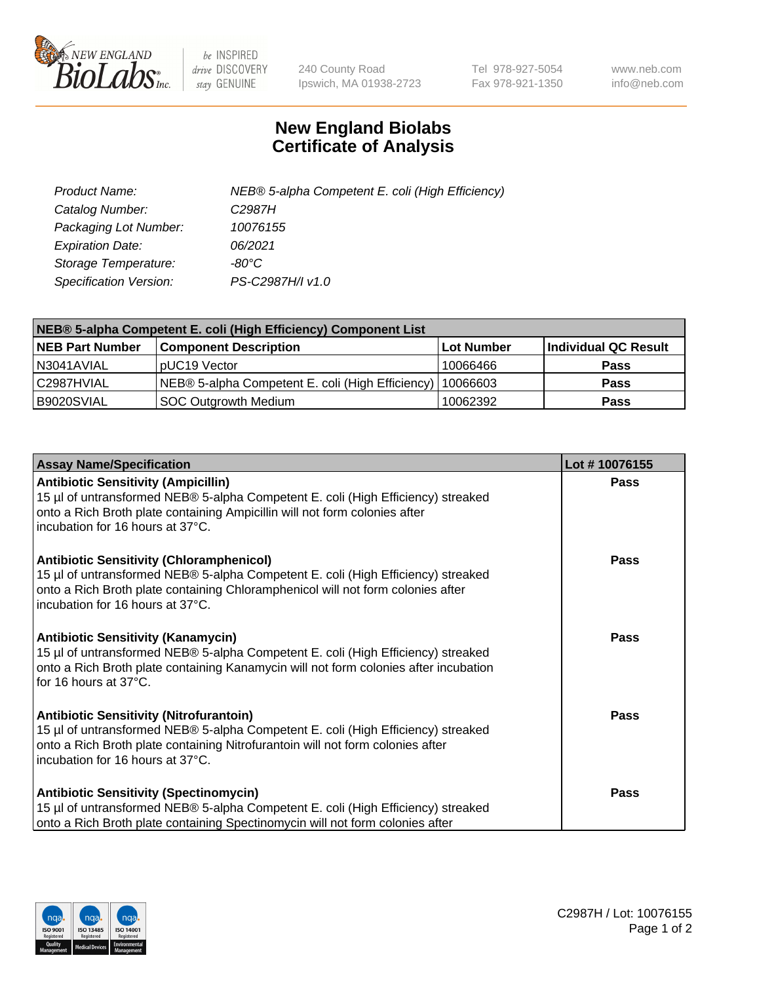

 $be$  INSPIRED drive DISCOVERY stay GENUINE

240 County Road Ipswich, MA 01938-2723 Tel 978-927-5054 Fax 978-921-1350 www.neb.com info@neb.com

## **New England Biolabs Certificate of Analysis**

| Product Name:           | NEB® 5-alpha Competent E. coli (High Efficiency) |
|-------------------------|--------------------------------------------------|
| Catalog Number:         | C <sub>2987</sub> H                              |
| Packaging Lot Number:   | 10076155                                         |
| <b>Expiration Date:</b> | 06/2021                                          |
| Storage Temperature:    | -80°C                                            |
| Specification Version:  | PS-C2987H/I v1.0                                 |

| NEB® 5-alpha Competent E. coli (High Efficiency) Component List |                                                  |                   |                      |  |
|-----------------------------------------------------------------|--------------------------------------------------|-------------------|----------------------|--|
| <b>NEB Part Number</b>                                          | <b>Component Description</b>                     | <b>Lot Number</b> | Individual QC Result |  |
| N3041AVIAL                                                      | pUC19 Vector                                     | 10066466          | <b>Pass</b>          |  |
| C2987HVIAL                                                      | NEB® 5-alpha Competent E. coli (High Efficiency) | 10066603          | <b>Pass</b>          |  |
| B9020SVIAL                                                      | <b>SOC Outgrowth Medium</b>                      | 10062392          | <b>Pass</b>          |  |

| <b>Assay Name/Specification</b>                                                                                                                                                                                                                            | Lot #10076155 |
|------------------------------------------------------------------------------------------------------------------------------------------------------------------------------------------------------------------------------------------------------------|---------------|
| <b>Antibiotic Sensitivity (Ampicillin)</b><br>15 µl of untransformed NEB® 5-alpha Competent E. coli (High Efficiency) streaked<br>onto a Rich Broth plate containing Ampicillin will not form colonies after<br>incubation for 16 hours at 37°C.           | <b>Pass</b>   |
| <b>Antibiotic Sensitivity (Chloramphenicol)</b><br>15 µl of untransformed NEB® 5-alpha Competent E. coli (High Efficiency) streaked<br>onto a Rich Broth plate containing Chloramphenicol will not form colonies after<br>incubation for 16 hours at 37°C. | Pass          |
| Antibiotic Sensitivity (Kanamycin)<br>15 µl of untransformed NEB® 5-alpha Competent E. coli (High Efficiency) streaked<br>onto a Rich Broth plate containing Kanamycin will not form colonies after incubation<br>for 16 hours at 37°C.                    | Pass          |
| <b>Antibiotic Sensitivity (Nitrofurantoin)</b><br>15 µl of untransformed NEB® 5-alpha Competent E. coli (High Efficiency) streaked<br>onto a Rich Broth plate containing Nitrofurantoin will not form colonies after<br>incubation for 16 hours at 37°C.   | <b>Pass</b>   |
| <b>Antibiotic Sensitivity (Spectinomycin)</b><br>15 µl of untransformed NEB® 5-alpha Competent E. coli (High Efficiency) streaked<br>onto a Rich Broth plate containing Spectinomycin will not form colonies after                                         | Pass          |